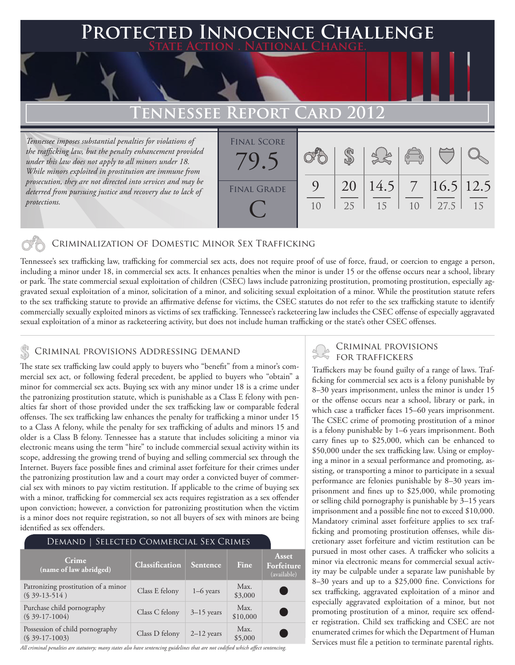## **FED INNOCENCE CHALLENGE State Action . National Change.**

## **Tennessee Report Card 2012**

*Tennessee imposes substantial penalties for violations of the trafficking law, but the penalty enhancement provided under this law does not apply to all minors under 18. While minors exploited in prostitution are immune from prosecution, they are not directed into services and may be deterred from pursuing justice and recovery due to lack of protections.*

| <b>FINAL SCORE</b><br>79 <sup>2</sup> |                |    |                     | 3860 |      |    |
|---------------------------------------|----------------|----|---------------------|------|------|----|
| <b>FINAL GRADE</b>                    | 9              |    | 20 14.5 7 16.5 12.5 |      |      |    |
|                                       | 1 <sub>0</sub> | 25 | 15                  | 10   | 27.5 | 15 |

### Criminalization of Domestic Minor Sex Trafficking

Tennessee's sex trafficking law, trafficking for commercial sex acts, does not require proof of use of force, fraud, or coercion to engage a person, including a minor under 18, in commercial sex acts. It enhances penalties when the minor is under 15 or the offense occurs near a school, library or park. The state commercial sexual exploitation of children (CSEC) laws include patronizing prostitution, promoting prostitution, especially aggravated sexual exploitation of a minor, solicitation of a minor, and soliciting sexual exploitation of a minor. While the prostitution statute refers to the sex trafficking statute to provide an affirmative defense for victims, the CSEC statutes do not refer to the sex trafficking statute to identify commercially sexually exploited minors as victims of sex trafficking. Tennessee's racketeering law includes the CSEC offense of especially aggravated sexual exploitation of a minor as racketeering activity, but does not include human trafficking or the state's other CSEC offenses.

### CRIMINAL PROVISIONS ADDRESSING DEMAND **FOR TRAFFICKERS**

The state sex trafficking law could apply to buyers who "benefit" from a minor's commercial sex act, or following federal precedent, be applied to buyers who "obtain" a minor for commercial sex acts. Buying sex with any minor under 18 is a crime under the patronizing prostitution statute, which is punishable as a Class E felony with penalties far short of those provided under the sex trafficking law or comparable federal offenses. The sex trafficking law enhances the penalty for trafficking a minor under 15 to a Class A felony, while the penalty for sex trafficking of adults and minors 15 and older is a Class B felony. Tennessee has a statute that includes soliciting a minor via electronic means using the term "hire" to include commercial sexual activity within its scope, addressing the growing trend of buying and selling commercial sex through the Internet. Buyers face possible fines and criminal asset forfeiture for their crimes under the patronizing prostitution law and a court may order a convicted buyer of commercial sex with minors to pay victim restitution. If applicable to the crime of buying sex with a minor, trafficking for commercial sex acts requires registration as a sex offender upon conviction; however, a conviction for patronizing prostitution when the victim is a minor does not require registration, so not all buyers of sex with minors are being identified as sex offenders.

| SELECTED COMMERCIAL SEX CRIMES<br>DEMAND              |                       |                 |                  |                                    |  |
|-------------------------------------------------------|-----------------------|-----------------|------------------|------------------------------------|--|
| Crime<br>(name of law abridged)                       | <b>Classification</b> | <b>Sentence</b> | Fine.            | Asset<br>Forfeiture<br>(available) |  |
| Patronizing prostitution of a minor<br>$(S39-13-514)$ | Class E felony        | $1-6$ years     | Max.<br>\$3,000  |                                    |  |
| Purchase child pornography<br>$(S$ 39-17-1004)        | Class C felony        | $3-15$ years    | Max.<br>\$10,000 |                                    |  |
| Possession of child pornography<br>$(S$ 39-17-1003)   | Class D felony        | $2-12$ years    | Max.<br>\$5,000  |                                    |  |

*All criminal penalties are statutory; many states also have sentencing guidelines that are not codified which affect sentencing.* 

# Criminal provisions

Traffickers may be found guilty of a range of laws. Trafficking for commercial sex acts is a felony punishable by 8–30 years imprisonment, unless the minor is under 15 or the offense occurs near a school, library or park, in which case a trafficker faces 15–60 years imprisonment. The CSEC crime of promoting prostitution of a minor is a felony punishable by 1–6 years imprisonment. Both carry fines up to \$25,000, which can be enhanced to \$50,000 under the sex trafficking law. Using or employing a minor in a sexual performance and promoting, assisting, or transporting a minor to participate in a sexual performance are felonies punishable by 8–30 years imprisonment and fines up to \$25,000, while promoting or selling child pornography is punishable by 3–15 years imprisonment and a possible fine not to exceed \$10,000. Mandatory criminal asset forfeiture applies to sex trafficking and promoting prostitution offenses, while discretionary asset forfeiture and victim restitution can be pursued in most other cases. A trafficker who solicits a minor via electronic means for commercial sexual activity may be culpable under a separate law punishable by 8–30 years and up to a \$25,000 fine. Convictions for sex trafficking, aggravated exploitation of a minor and especially aggravated exploitation of a minor, but not promoting prostitution of a minor, require sex offender registration. Child sex trafficking and CSEC are not enumerated crimes for which the Department of Human Services must file a petition to terminate parental rights.